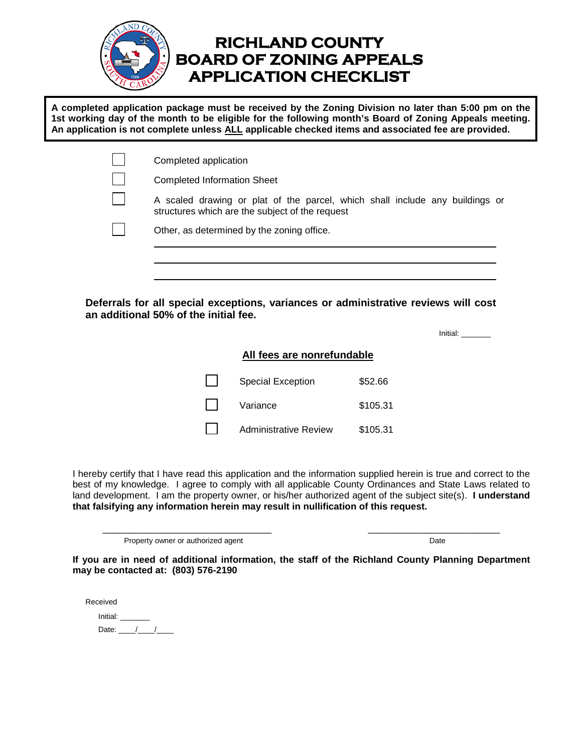

### **RICHLAND COUNTY BOARD OF ZONING APPEALS APPLICATION CHECKLIST**

**A completed application package must be received by the Zoning Division no later than 5:00 pm on the 1st working day of the month to be eligible for the following month's Board of Zoning Appeals meeting. An application is not complete unless ALL applicable checked items and associated fee are provided.** 

| Completed application                                                                                                           |
|---------------------------------------------------------------------------------------------------------------------------------|
| <b>Completed Information Sheet</b>                                                                                              |
| A scaled drawing or plat of the parcel, which shall include any buildings or<br>structures which are the subject of the request |
| Other, as determined by the zoning office.                                                                                      |

**Deferrals for all special exceptions, variances or administrative reviews will cost an additional 50% of the initial fee.**

Initial: \_\_\_\_\_\_\_

#### **All fees are nonrefundable**

Special Exception \$52.66 Variance \$105.31 Administrative Review \$105.31

I hereby certify that I have read this application and the information supplied herein is true and correct to the best of my knowledge. I agree to comply with all applicable County Ordinances and State Laws related to land development. I am the property owner, or his/her authorized agent of the subject site(s). **I understand that falsifying any information herein may result in nullification of this request.**

\_\_\_\_\_\_\_\_\_\_\_\_\_\_\_\_\_\_\_\_\_\_\_\_\_\_\_\_\_\_\_\_ \_\_\_\_\_\_\_\_\_\_\_\_\_\_\_\_\_\_\_\_\_\_\_\_\_

Property owner or authorized agent Date Date Date Date Date

**If you are in need of additional information, the staff of the Richland County Planning Department may be contacted at: (803) 576-2190** 

Received Initial: Date:  $\frac{1}{\sqrt{2}}$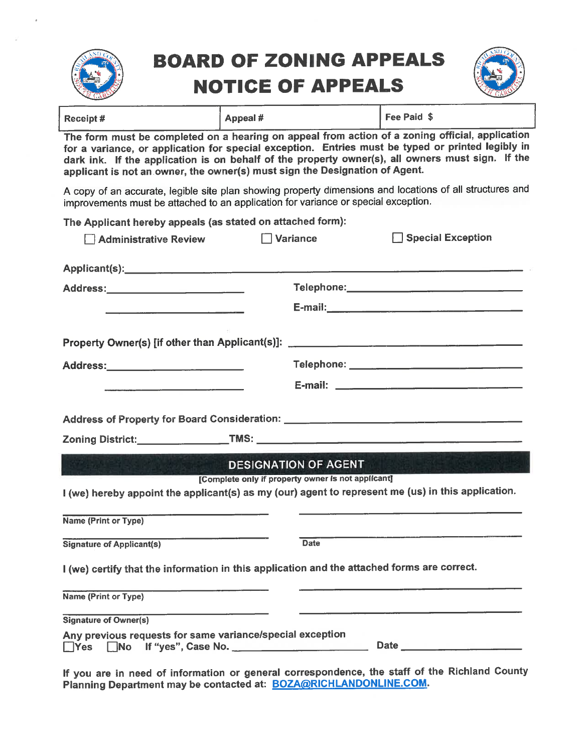

## **BOARD OF ZONING APPEALS NOTICE OF APPEALS**



| Receipt#                                                                                                                                                                                                                                                                                                                                                                                | Appeal # | Fee Paid \$ |  |  |  |  |  |
|-----------------------------------------------------------------------------------------------------------------------------------------------------------------------------------------------------------------------------------------------------------------------------------------------------------------------------------------------------------------------------------------|----------|-------------|--|--|--|--|--|
| The form must be completed on a hearing on appeal from action of a zoning official, application<br>for a variance, or application for special exception. Entries must be typed or printed legibly in<br>dark ink. If the application is on behalf of the property owner(s), all owners must sign. If the<br>applicant is not an owner, the owner(s) must sign the Designation of Agent. |          |             |  |  |  |  |  |

A copy of an accurate, legible site plan showing property dimensions and locations of all structures and improvements must be attached to an application for variance or special exception.

The Applicant hereby appeals (as stated on attached form):

| <b>Administrative Review</b>                                                                                                                          | Special Exception<br>Variance                                                                                                                            |
|-------------------------------------------------------------------------------------------------------------------------------------------------------|----------------------------------------------------------------------------------------------------------------------------------------------------------|
|                                                                                                                                                       |                                                                                                                                                          |
| Address:_____________________________                                                                                                                 |                                                                                                                                                          |
|                                                                                                                                                       |                                                                                                                                                          |
| Property Owner(s) [if other than Applicant(s)]: ________________________________                                                                      |                                                                                                                                                          |
| Address:________________________                                                                                                                      |                                                                                                                                                          |
|                                                                                                                                                       |                                                                                                                                                          |
|                                                                                                                                                       |                                                                                                                                                          |
|                                                                                                                                                       |                                                                                                                                                          |
|                                                                                                                                                       | <b>DESIGNATION OF AGENT</b>                                                                                                                              |
|                                                                                                                                                       | [Complete only if property owner is not applicant]<br>I (we) hereby appoint the applicant(s) as my (our) agent to represent me (us) in this application. |
| Name (Print or Type)                                                                                                                                  |                                                                                                                                                          |
| <b>Signature of Applicant(s)</b>                                                                                                                      | <u> 1989 - Johann Marie Barristo, martin amerikan di sebagai pertama dan pertama di sebagai pertama di sebagai per</u><br><b>Date</b>                    |
| I (we) certify that the information in this application and the attached forms are correct.                                                           |                                                                                                                                                          |
| Name (Print or Type)                                                                                                                                  | <u> 1980 - Andrea Stadt Britain, amerikansk politik (* 1908)</u>                                                                                         |
| <u> 1980 - John Harry Harry Harry Harry Harry Harry Harry Harry Harry Harry Harry Harry Harry Harry Harry Harry H</u><br><b>Signature of Owner(s)</b> |                                                                                                                                                          |
| Any previous requests for same variance/special exception<br>Ves No If "yes", Case No.                                                                |                                                                                                                                                          |

If you are in need of information or general correspondence, the staff of the Richland County<br>Planning Department may be contacted at: **BOZA@RICHLANDONLINE.COM**.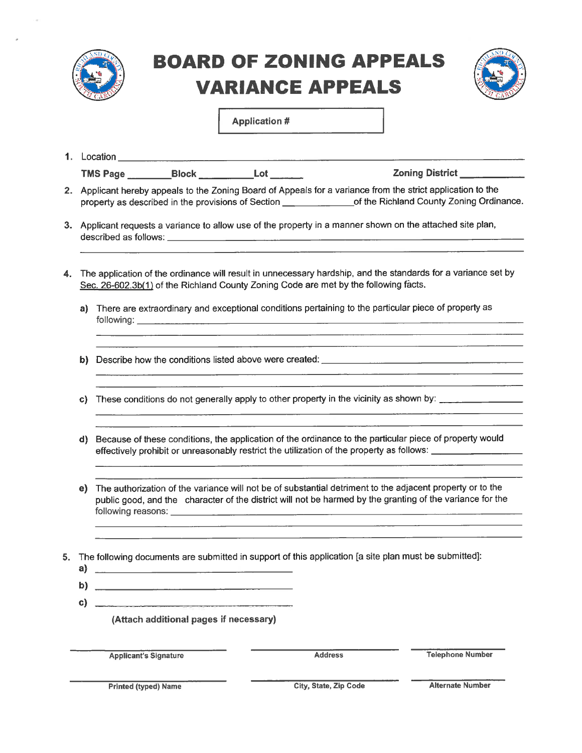

# **BOARD OF ZONING APPEALS VARIANCE APPEALS**



**Application #** 

|    |                                                                                                                                                                                                                             | <b>1.</b> Location                                                                                                                                                                                                                                                                                                                                           |                                                            | the contract of the contract of the contract of the contract of the contract of the contract of the |                                                                                                                                                                                                                             |  |  |  |  |  |  |
|----|-----------------------------------------------------------------------------------------------------------------------------------------------------------------------------------------------------------------------------|--------------------------------------------------------------------------------------------------------------------------------------------------------------------------------------------------------------------------------------------------------------------------------------------------------------------------------------------------------------|------------------------------------------------------------|-----------------------------------------------------------------------------------------------------|-----------------------------------------------------------------------------------------------------------------------------------------------------------------------------------------------------------------------------|--|--|--|--|--|--|
|    |                                                                                                                                                                                                                             |                                                                                                                                                                                                                                                                                                                                                              |                                                            |                                                                                                     | Zoning District __________                                                                                                                                                                                                  |  |  |  |  |  |  |
|    | 2. Applicant hereby appeals to the Zoning Board of Appeals for a variance from the strict application to the<br>property as described in the provisions of Section ________________of the Richland County Zoning Ordinance. |                                                                                                                                                                                                                                                                                                                                                              |                                                            |                                                                                                     |                                                                                                                                                                                                                             |  |  |  |  |  |  |
|    |                                                                                                                                                                                                                             | 3. Applicant requests a variance to allow use of the property in a manner shown on the attached site plan,                                                                                                                                                                                                                                                   |                                                            |                                                                                                     |                                                                                                                                                                                                                             |  |  |  |  |  |  |
| 4. | The application of the ordinance will result in unnecessary hardship, and the standards for a variance set by<br>Sec. 26-602.3b(1) of the Richland County Zoning Code are met by the following facts.                       |                                                                                                                                                                                                                                                                                                                                                              |                                                            |                                                                                                     |                                                                                                                                                                                                                             |  |  |  |  |  |  |
|    | a)                                                                                                                                                                                                                          |                                                                                                                                                                                                                                                                                                                                                              |                                                            |                                                                                                     | There are extraordinary and exceptional conditions pertaining to the particular piece of property as<br><u> 1980 - Andrea San Andrea San Andrea San Andrea San Andrea San Andrea San Andrea San Andrea San Andrea San A</u> |  |  |  |  |  |  |
|    | b)                                                                                                                                                                                                                          | <u>. In the contract of the contract of the contract of the contract of the contract of the contract of the contract of the contract of the contract of the contract of the contract of the contract of the contract of the cont</u>                                                                                                                         |                                                            |                                                                                                     |                                                                                                                                                                                                                             |  |  |  |  |  |  |
|    | C)                                                                                                                                                                                                                          | <u> 1989 - Johann Stein, mars et al. 1989 - Anna anno 1989 - Anna anno 1989 - Anna anno 1989 - Anna ann ann an </u><br>These conditions do not generally apply to other property in the vicinity as shown by: ______________________<br><u> 1980 - 1980 - 1980 - 1980 - 1980 - 1980 - 1980 - 1980 - 1980 - 1980 - 1980 - 1980 - 1980 - 1980 - 1980 - 198</u> |                                                            |                                                                                                     |                                                                                                                                                                                                                             |  |  |  |  |  |  |
|    | d)                                                                                                                                                                                                                          | Because of these conditions, the application of the ordinance to the particular piece of property would<br>effectively prohibit or unreasonably restrict the utilization of the property as follows: ________________<br><u> 1980 - Jan Sarajević, politika i postao da svjetlo da svoji središte i da svjetlo da svoji središte i da svje</u>               |                                                            |                                                                                                     |                                                                                                                                                                                                                             |  |  |  |  |  |  |
|    | e)                                                                                                                                                                                                                          | The authorization of the variance will not be of substantial detriment to the adjacent property or to the<br>public good, and the character of the district will not be harmed by the granting of the variance for the                                                                                                                                       |                                                            |                                                                                                     |                                                                                                                                                                                                                             |  |  |  |  |  |  |
| 5. | a)                                                                                                                                                                                                                          |                                                                                                                                                                                                                                                                                                                                                              |                                                            |                                                                                                     | The following documents are submitted in support of this application [a site plan must be submitted]:                                                                                                                       |  |  |  |  |  |  |
|    | b)                                                                                                                                                                                                                          |                                                                                                                                                                                                                                                                                                                                                              | the company of the company's company's company's company's |                                                                                                     |                                                                                                                                                                                                                             |  |  |  |  |  |  |
| c) |                                                                                                                                                                                                                             |                                                                                                                                                                                                                                                                                                                                                              | (Attach additional pages if necessary)                     |                                                                                                     |                                                                                                                                                                                                                             |  |  |  |  |  |  |
|    |                                                                                                                                                                                                                             | <b>Applicant's Signature</b>                                                                                                                                                                                                                                                                                                                                 |                                                            |                                                                                                     | <b>Telephone Number</b><br><b>Address</b>                                                                                                                                                                                   |  |  |  |  |  |  |

**Printed (typed) Name** 

City, State, Zip Code

**Alternate Number**